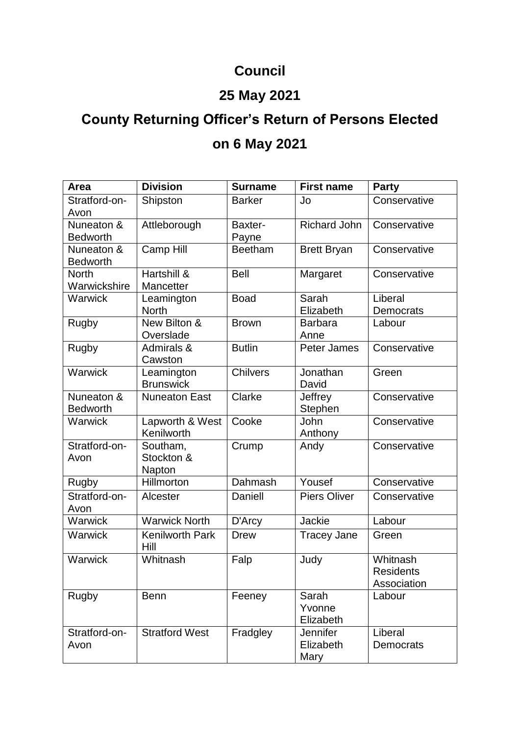## **Council**

## **25 May 2021**

## **County Returning Officer's Return of Persons Elected on 6 May 2021**

| Area                          | <b>Division</b>                  | <b>Surname</b>   | <b>First name</b>             | <b>Party</b>                                |
|-------------------------------|----------------------------------|------------------|-------------------------------|---------------------------------------------|
| Stratford-on-<br>Avon         | Shipston                         | <b>Barker</b>    | Jo                            | Conservative                                |
| Nuneaton &<br><b>Bedworth</b> | Attleborough                     | Baxter-<br>Payne | <b>Richard John</b>           | Conservative                                |
| Nuneaton &<br><b>Bedworth</b> | Camp Hill                        | <b>Beetham</b>   | <b>Brett Bryan</b>            | Conservative                                |
| <b>North</b><br>Warwickshire  | Hartshill &<br>Mancetter         | <b>Bell</b>      | Margaret                      | Conservative                                |
| Warwick                       | Leamington<br><b>North</b>       | <b>Boad</b>      | Sarah<br>Elizabeth            | Liberal<br>Democrats                        |
| Rugby                         | New Bilton &<br>Overslade        | <b>Brown</b>     | <b>Barbara</b><br>Anne        | Labour                                      |
| Rugby                         | Admirals &<br>Cawston            | <b>Butlin</b>    | Peter James                   | Conservative                                |
| Warwick                       | Leamington<br><b>Brunswick</b>   | <b>Chilvers</b>  | Jonathan<br>David             | Green                                       |
| Nuneaton &<br><b>Bedworth</b> | <b>Nuneaton East</b>             | Clarke           | Jeffrey<br>Stephen            | Conservative                                |
| Warwick                       | Lapworth & West<br>Kenilworth    | Cooke            | John<br>Anthony               | Conservative                                |
| Stratford-on-<br>Avon         | Southam,<br>Stockton &<br>Napton | Crump            | Andy                          | Conservative                                |
| Rugby                         | Hillmorton                       | Dahmash          | Yousef                        | Conservative                                |
| Stratford-on-<br>Avon         | Alcester                         | <b>Daniell</b>   | <b>Piers Oliver</b>           | Conservative                                |
| Warwick                       | <b>Warwick North</b>             | D'Arcy           | <b>Jackie</b>                 | Labour                                      |
| Warwick                       | <b>Kenilworth Park</b><br>Hill   | <b>Drew</b>      | <b>Tracey Jane</b>            | Green                                       |
| Warwick                       | Whitnash                         | Falp             | Judy                          | Whitnash<br><b>Residents</b><br>Association |
| <b>Rugby</b>                  | <b>Benn</b>                      | Feeney           | Sarah<br>Yvonne<br>Elizabeth  | Labour                                      |
| Stratford-on-<br>Avon         | <b>Stratford West</b>            | Fradgley         | Jennifer<br>Elizabeth<br>Mary | Liberal<br>Democrats                        |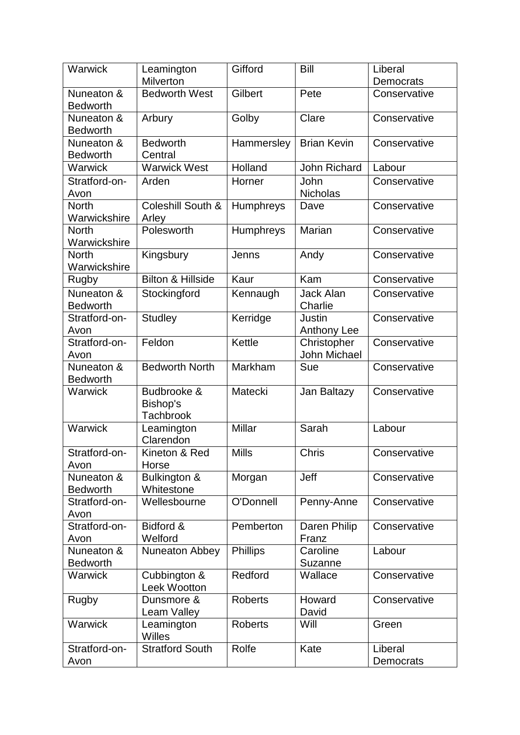| Warwick               | Leamington                          | Gifford          | <b>Bill</b>                | Liberal      |
|-----------------------|-------------------------------------|------------------|----------------------------|--------------|
|                       | <b>Milverton</b>                    |                  |                            | Democrats    |
| Nuneaton &            | <b>Bedworth West</b>                | Gilbert          | Pete                       | Conservative |
| <b>Bedworth</b>       |                                     |                  |                            |              |
| Nuneaton &            | Arbury                              | Golby            | Clare                      | Conservative |
| <b>Bedworth</b>       |                                     |                  |                            |              |
| Nuneaton &            | <b>Bedworth</b>                     | Hammersley       | <b>Brian Kevin</b>         | Conservative |
| <b>Bedworth</b>       | Central                             |                  |                            |              |
| <b>Warwick</b>        | <b>Warwick West</b>                 | Holland          | <b>John Richard</b>        | Labour       |
| Stratford-on-         | Arden                               | Horner           | John                       | Conservative |
| Avon                  |                                     |                  | <b>Nicholas</b>            |              |
| <b>North</b>          | Coleshill South &                   | Humphreys        | Dave                       | Conservative |
| Warwickshire          | Arley                               |                  |                            |              |
| <b>North</b>          | Polesworth                          | <b>Humphreys</b> | Marian                     | Conservative |
| Warwickshire          |                                     |                  |                            |              |
| <b>North</b>          | Kingsbury                           | Jenns            | Andy                       | Conservative |
| Warwickshire          | <b>Bilton &amp; Hillside</b>        | Kaur             | Kam                        | Conservative |
| Rugby                 |                                     |                  |                            |              |
| Nuneaton &            | Stockingford                        | Kennaugh         | <b>Jack Alan</b>           | Conservative |
| <b>Bedworth</b>       |                                     |                  | Charlie                    |              |
| Stratford-on-<br>Avon | <b>Studley</b>                      | Kerridge         | Justin                     | Conservative |
| Stratford-on-         | Feldon                              | Kettle           | Anthony Lee<br>Christopher | Conservative |
| Avon                  |                                     |                  | <b>John Michael</b>        |              |
| Nuneaton &            | <b>Bedworth North</b>               | Markham          | Sue                        | Conservative |
| <b>Bedworth</b>       |                                     |                  |                            |              |
| Warwick               | Budbrooke &                         | Matecki          | Jan Baltazy                | Conservative |
|                       | Bishop's                            |                  |                            |              |
|                       | <b>Tachbrook</b>                    |                  |                            |              |
| Warwick               | Leamington                          | Millar           | Sarah                      | Labour       |
|                       | Clarendon                           |                  |                            |              |
| Stratford-on-         | Kineton & Red                       | <b>Mills</b>     | Chris                      | Conservative |
| Avon                  | Horse                               |                  |                            |              |
| Nuneaton &            | Bulkington &                        | Morgan           | Jeff                       | Conservative |
| <b>Bedworth</b>       | Whitestone                          |                  |                            |              |
| Stratford-on-         | Wellesbourne                        | O'Donnell        | Penny-Anne                 | Conservative |
| Avon                  |                                     |                  |                            |              |
| Stratford-on-         | Bidford &                           | Pemberton        | Daren Philip               | Conservative |
| Avon                  | Welford                             |                  | Franz                      |              |
| Nuneaton &            | <b>Nuneaton Abbey</b>               | <b>Phillips</b>  | Caroline                   | Labour       |
| <b>Bedworth</b>       |                                     |                  | <b>Suzanne</b>             |              |
| <b>Warwick</b>        | Cubbington &<br><b>Leek Wootton</b> | Redford          | Wallace                    | Conservative |
| <b>Rugby</b>          | Dunsmore &                          | <b>Roberts</b>   | Howard                     | Conservative |
|                       | Leam Valley                         |                  | David                      |              |
| <b>Warwick</b>        | Leamington                          | <b>Roberts</b>   | Will                       | Green        |
|                       | <b>Willes</b>                       |                  |                            |              |
| Stratford-on-         | <b>Stratford South</b>              | Rolfe            | Kate                       | Liberal      |
| Avon                  |                                     |                  |                            | Democrats    |